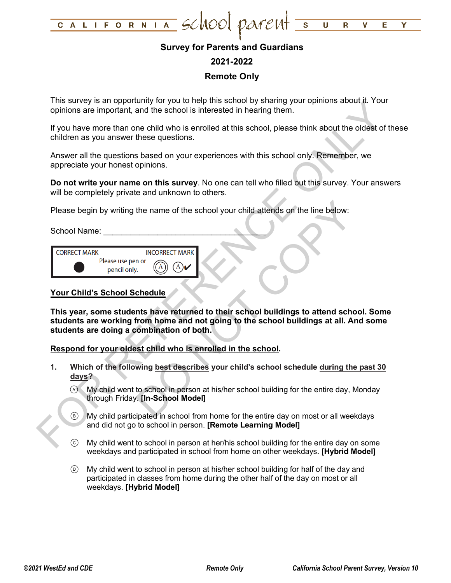

## **Survey for Parents and Guardians**

## **2021-2022**

## **Remote Only**

This survey is an opportunity for you to help this school by sharing your opinions about it. Your opinions are important, and the school is interested in hearing them.

If you have more than one child who is enrolled at this school, please think about the oldest of these children as you answer these questions.

Answer all the questions based on your experiences with this school only. Remember, we appreciate your honest opinions.

**Do not write your name on this survey**. No one can tell who filled out this survey. Your answers will be completely private and unknown to others.

Please begin by writing the name of the school your child attends on the line below:

School Name:

| <b>CORRECT MARK</b> |                                   | <b>INCORRECT MARK</b> |
|---------------------|-----------------------------------|-----------------------|
|                     | Please use pen or<br>pencil only. |                       |

### **Your Child's School Schedule**

Thus save year and point of your diversion of your parameterized in heating them.<br>
The same in the school is interested in heating them.<br>
If you have more than one child who is errolled at this school, please think about t The name of the school your child attends on the line below:<br>
NOT DRECT MARK<br>
THE MARK<br>
THE MARK<br>
Chedule<br>
This have returned to their school buildings to attend school<br>
This have returned to their school buildings at all. **This year, some students have returned to their school buildings to attend school. Some students are working from home and not going to the school buildings at all. And some students are doing a combination of both.**

**Respond for your oldest child who is enrolled in the school.**

- **1. Which of the following best describes your child's school schedule during the past 30 days?**
	- My child went to school in person at his/her school building for the entire day, Monday through Friday. **[In-School Model]**
	- My child participated in school from home for the entire day on most or all weekdays and did not go to school in person. **[Remote Learning Model]**
	- My child went to school in person at her/his school building for the entire day on some weekdays and participated in school from home on other weekdays. **[Hybrid Model]**
	- My child went to school in person at his/her school building for half of the day and participated in classes from home during the other half of the day on most or all weekdays. **[Hybrid Model]**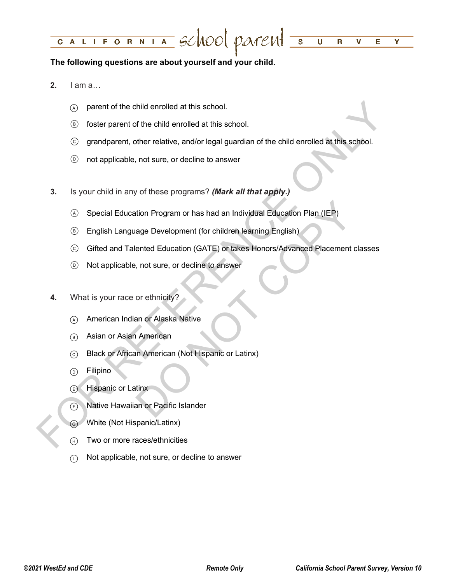#### LIFORNIA SCHOOL PATENT =  $\overline{\textsf{U}}$ C A  $\mathbf R$  $\mathbf v$ Е Y

### **The following questions are about yourself and your child.**

- **2.** I am a…
	- $\alpha$  parent of the child enrolled at this school.
	- foster parent of the child enrolled at this school.
	- grandparent, other relative, and/or legal guardian of the child enrolled at this school.
	- not applicable, not sure, or decline to answer
- **3.** Is your child in any of these programs? *(Mark all that apply.)*
	- Special Education Program or has had an Individual Education Plan (IEP)
	- English Language Development (for children learning English)
- $\odot$  parent of the child enrolled at this school.<br>  $\odot$  foster parent of the child enrolled at this school.<br>  $\odot$  grandparent, other relative, and/or legal guardian of the child enrolled at this school.<br>  $\odot$  not ap tion Program or has had an Individual Education Plan (IEP)<br>age Development (for children learning English)<br>ented Education (GATE) or takes Honors/Advanced Placement cla<br>, not sure, or decline to answer<br>or ethnicity?<br>an or Gifted and Talented Education (GATE) or takes Honors/Advanced Placement classes
	- Not applicable, not sure, or decline to answer
	- **4.** What is your race or ethnicity?
		- American Indian or Alaska Native
		- Asian or Asian American
		- Black or African American (Not Hispanic or Latinx)
		- (b) Filipino
		- Hispanic or Latinx
		- Native Hawaiian or Pacific Islander
		- White (Not Hispanic/Latinx)
		- (F) Two or more races/ethnicities
		- $\cap$  Not applicable, not sure, or decline to answer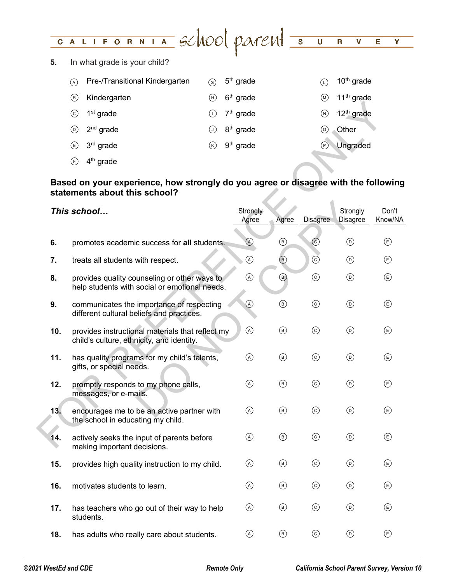#### CALIFORNIA SCHOOL PATENT 5  $\overline{\mathsf{U}}$  $\overline{\mathbf{R}}$  $\overline{\mathbf{v}}$ E. Y

**5.** In what grade is your child?

| $\mathcal{A}$ | Pre-/Transitional Kindergarten | <u>(ව)</u> | 5 <sup>th</sup> grade            |                | 10 <sup>th</sup> grade          |
|---------------|--------------------------------|------------|----------------------------------|----------------|---------------------------------|
| (в)           | Kindergarten                   |            | $(h)$ 6 <sup>th</sup> grade      | (M)            | 11 <sup>th</sup> grade          |
| (c)           | 1 <sup>st</sup> grade          |            | $\bigcirc$ 7 <sup>th</sup> grade |                | $\omega$ 12 <sup>th</sup> grade |
| (D)           | 2 <sup>nd</sup> grade          |            | $\odot$ 8 <sup>th</sup> grade    |                | ⊙ Other                         |
|               | $(E)$ 3 <sup>rd</sup> grade    | (K)        | 9 <sup>th</sup> grade            | $(\mathsf{P})$ | Ungraded                        |
|               |                                |            |                                  |                |                                 |

# **Based on your experience, how strongly do you agree or disagree with the following statements about this school?**

|     | $1st$ grade<br>$\odot$                                                                                              | $(\mathsf{I})$ | $7th$ grade           |                | $\circledR$    | 12 <sup>th</sup> grade            |                                    |
|-----|---------------------------------------------------------------------------------------------------------------------|----------------|-----------------------|----------------|----------------|-----------------------------------|------------------------------------|
|     | $^{\copyright}$<br>$2nd$ grade                                                                                      | $\odot$        | 8 <sup>th</sup> grade |                | $\circledcirc$ | Other                             |                                    |
|     | $3rd$ grade<br>⊕                                                                                                    | $^\circledR$   | 9 <sup>th</sup> grade |                | $\odot$        | Ungraded                          |                                    |
|     | $\bigoplus$<br>4 <sup>th</sup> grade                                                                                |                |                       |                |                |                                   |                                    |
|     | Based on your experience, how strongly do you agree or disagree with the following<br>statements about this school? |                |                       |                |                |                                   |                                    |
|     | This school                                                                                                         |                | Strongly<br>Agree     | Agree          | Disagree       | Strongly<br>Disagree              | Don't<br>Know/NA                   |
| 6.  | promotes academic success for all students.                                                                         |                | $\odot$               | $^{\circledR}$ | $_{\odot}$     | $^{\copyright}$                   | $\circlede$                        |
| 7.  | treats all students with respect.                                                                                   |                | $\odot$               | $^{\circledR}$ | $_{\odot}$     | $\circledcirc$                    | $\circlede$                        |
| 8.  | provides quality counseling or other ways to<br>help students with social or emotional needs.                       |                | $\odot$               | $\circledcirc$ | $\odot$        | $\odot$                           | $\circlede$                        |
| 9.  | communicates the importance of respecting<br>different cultural beliefs and practices.                              |                | $\circledcirc$        | $^{\circledR}$ | $\odot$        | $\odot$                           | $\circlede$                        |
| 10. | provides instructional materials that reflect my<br>child's culture, ethnicity, and identity.                       |                | $\odot$               | $\circledcirc$ | $\odot$        | $\odot$                           | $\circlede$                        |
| 11. | has quality programs for my child's talents,<br>gifts, or special needs.                                            |                | $\odot$               | $\circledcirc$ | $\odot$        | $\odot$                           | $\circlede$                        |
| 12. | promptly responds to my phone calls,<br>messages, or e-mails.                                                       |                | $\odot$               | $\circledcirc$ | $\odot$        | $^{\copyright}$                   | $\circlede$                        |
| 13. | encourages me to be an active partner with<br>the school in educating my child.                                     |                | $\odot$               | $\circledcirc$ | $_{\odot}$     | $^{\copyright}$                   | $^{\circledR}$                     |
| 14. | actively seeks the input of parents before<br>making important decisions.                                           |                | $\circledcirc$        | $^{\circledR}$ | $_{\odot}$     | $_{\textcircled{\scriptsize{1}}}$ | $^{\circledR}$                     |
| 15. | provides high quality instruction to my child.                                                                      |                | $\odot$               | $\circledcirc$ | $_{\odot}$     | $^{\circledR}$                    | $^{\circledR}$                     |
| 16. | motivates students to learn.                                                                                        |                | $\odot$               | $^{\circledR}$ | $\odot$        | $^{\circledR}$                    | $\circlede$                        |
| 17. | has teachers who go out of their way to help<br>students.                                                           |                | $\circledcirc$        | $\circledcirc$ | $_{\odot}$     | $^{\circledR}$                    | $\circled{\scriptstyle\mathsf{E}}$ |
| 18. | has adults who really care about students.                                                                          |                | $\odot$               | $\circledcirc$ | $\odot$        | $^{\copyright}$                   | $\circlede$                        |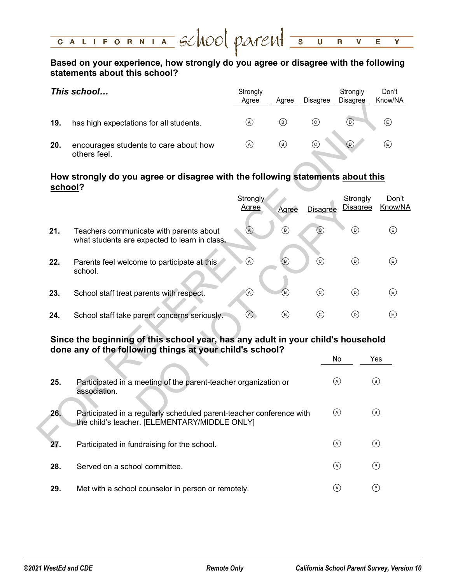#### CALIFORNIA SCHOOL PATENT 5  $\overline{\mathsf{U}}$  $\overline{\mathbf{R}}$ V Е Y

# **Based on your experience, how strongly do you agree or disagree with the following statements about this school?**

|     | This school                                           | Strongly<br>Agree | Agree | <b>Disagree</b> | Strongly<br><b>Disagree</b> | Don't<br>Know/NA |
|-----|-------------------------------------------------------|-------------------|-------|-----------------|-----------------------------|------------------|
| 19. | has high expectations for all students.               | (A)               | (B)   | (c)             | (D)                         | Ε.               |
| 20. | encourages students to care about how<br>others feel. | ( A )             | (B)   | (c)             | (D)                         | Έ)               |

# **How strongly do you agree or disagree with the following statements about this school?**

|         |                                                                                                                                              | unice                    | unice          | Disayi <del>ce</del> | Disayi ce                   | <b>NUVVIIVA</b>                    |
|---------|----------------------------------------------------------------------------------------------------------------------------------------------|--------------------------|----------------|----------------------|-----------------------------|------------------------------------|
| 19.     | has high expectations for all students.                                                                                                      | $\odot$                  | $^{\circledR}$ | $\odot$              | $\odot$                     | $^{\circledR}$                     |
| 20.     | encourages students to care about how<br>others feel.                                                                                        | $\odot$                  | $^{\circledR}$ | $_{\odot}$           | $\circledcirc$              | $^{\circledR}$                     |
| school? | How strongly do you agree or disagree with the following statements about this                                                               |                          |                |                      |                             |                                    |
|         |                                                                                                                                              | Strongly<br><b>Agree</b> | Agree          | <b>Disagree</b>      | Strongly<br><b>Disagree</b> | Don't<br>Know/NA                   |
| 21.     | Teachers communicate with parents about<br>what students are expected to learn in class.                                                     | $\circledcirc$           | $\circledcirc$ | $\odot$              | $^{\copyright}$             | $\circlede$                        |
| 22.     | Parents feel welcome to participate at this<br>school.                                                                                       | $\odot$                  | $^{\circledR}$ | $\odot$              | $\odot$                     | $\circled$                         |
| 23.     | School staff treat parents with respect.                                                                                                     | $^\copyright$            | $\circledR$    | $\odot$              | $\odot$                     | $\circled{\scriptstyle\mathsf{E}}$ |
| 24.     | School staff take parent concerns seriously.                                                                                                 | $\odot$                  | $^{\circledR}$ | $\odot$              | $\odot$                     | $\circled{\scriptstyle\mathsf{E}}$ |
|         | Since the beginning of this school year, has any adult in your child's household<br>done any of the following things at your child's school? |                          |                |                      |                             |                                    |
|         |                                                                                                                                              |                          |                |                      | No                          | Yes                                |
| 25.     | Participated in a meeting of the parent-teacher organization or<br>association.                                                              |                          |                |                      | $\circledcirc$              | $^{\circledR}$                     |
| 26.     | Participated in a regularly scheduled parent-teacher conference with<br>the child's teacher. [ELEMENTARY/MIDDLE ONLY]                        |                          |                |                      | $\odot$                     | $\circledcirc$                     |
| 27.     | Participated in fundraising for the school.                                                                                                  |                          |                |                      | $\odot$                     | $\circledcirc$                     |

# **Since the beginning of this school year, has any adult in your child's household done any of the following things at your child's school?**

|     |                                                                                                                       | No    | Yes |
|-----|-----------------------------------------------------------------------------------------------------------------------|-------|-----|
| 25. | Participated in a meeting of the parent-teacher organization or<br>association.                                       | (A)   | (в) |
| 26. | Participated in a regularly scheduled parent-teacher conference with<br>the child's teacher. [ELEMENTARY/MIDDLE ONLY] | (A)   | (B) |
| 27. | Participated in fundraising for the school.                                                                           | ( A ) | (B) |
| 28. | Served on a school committee.                                                                                         | (A)   | (B) |
| 29. | Met with a school counselor in person or remotely.                                                                    | A     | (B) |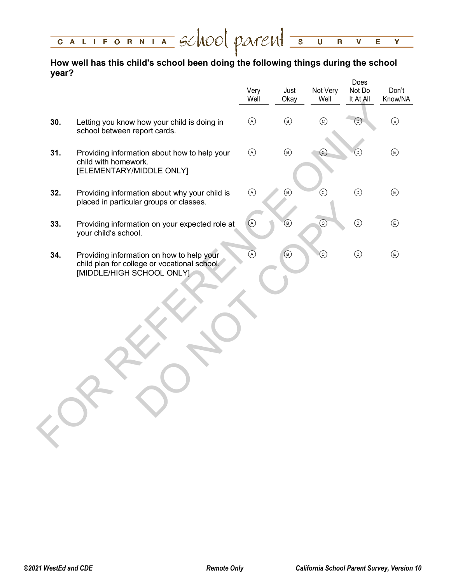| CALIFORNIA SCNOOL PATEMT SURVEY |  |  |  |  |
|---------------------------------|--|--|--|--|
|                                 |  |  |  |  |

# **How well has this child's school been doing the following things during the school year?** Does

|     |                                                                                                                        | Very<br>Well                                                                                                                                                                                                                                                                                                                                        | Just<br>Okay                  | Not Very<br>Well  | <b>DOGS</b><br>Not Do<br>It At All | Don't<br>Know/NA |
|-----|------------------------------------------------------------------------------------------------------------------------|-----------------------------------------------------------------------------------------------------------------------------------------------------------------------------------------------------------------------------------------------------------------------------------------------------------------------------------------------------|-------------------------------|-------------------|------------------------------------|------------------|
| 30. | Letting you know how your child is doing in<br>school between report cards.                                            | $\odot$                                                                                                                                                                                                                                                                                                                                             | $\circledcirc$                | $_{\odot}$        | $^\copyright$                      | $\bigcirc$       |
| 31. | Providing information about how to help your<br>child with homework.<br>[ELEMENTARY/MIDDLE ONLY]                       | $\odot$                                                                                                                                                                                                                                                                                                                                             | $\textcircled{\scriptsize 8}$ | $\left( c\right)$ | $^{\copyright}$                    | $\bigcirc$       |
| 32. | Providing information about why your child is<br>placed in particular groups or classes.                               | $\begin{picture}(40,4) \put(0,0){\line(1,0){155}} \put(0,0){\line(1,0){155}} \put(0,0){\line(1,0){155}} \put(0,0){\line(1,0){155}} \put(0,0){\line(1,0){155}} \put(0,0){\line(1,0){155}} \put(0,0){\line(1,0){155}} \put(0,0){\line(1,0){155}} \put(0,0){\line(1,0){155}} \put(0,0){\line(1,0){155}} \put(0,0){\line(1,0){155}} \put(0,0){\line(1,$ | $\circledcirc$                | $\odot$           | $\textcircled{\scriptsize{D}}$     | $\bigoplus$      |
| 33. | Providing information on your expected role at<br>your child's school.                                                 | $\odot$                                                                                                                                                                                                                                                                                                                                             | $\circledcirc$                | $\odot$           | $\textcircled{\scriptsize{D}}$     | $\bigcirc$       |
| 34. | Providing information on how to help your<br>child plan for college or vocational school.<br>[MIDDLE/HIGH SCHOOL ONLY] | $\circledcirc$                                                                                                                                                                                                                                                                                                                                      | $\circledcirc$                | $\odot$           | $\odot$                            | $\bigcirc$       |
|     |                                                                                                                        |                                                                                                                                                                                                                                                                                                                                                     |                               |                   |                                    |                  |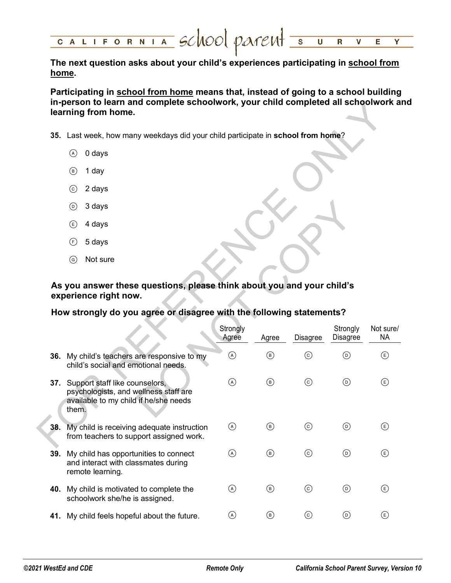**The next question asks about your child's experiences participating in school from home.** 

**Participating in school from home means that, instead of going to a school building in-person to learn and complete schoolwork, your child completed all schoolwork and learning from home.**

- **35.** Last week, how many weekdays did your child participate in **school from home**?
	- $(A)$  0 days
	- $(B)$  1 day
	- 2 days
	- 3 days
	- $\circled{e}$  4 days
	- 5 days
	- Not sure

# **As you answer these questions, please think about you and your child's experience right now.**

# **How strongly do you agree or disagree with the following statements?**

| in-person to learn and complete schoolwork, your child completed all schoolwork al | learning from home.                                                                                                           |                   |                |                                                                        |                                   |                                    |
|------------------------------------------------------------------------------------|-------------------------------------------------------------------------------------------------------------------------------|-------------------|----------------|------------------------------------------------------------------------|-----------------------------------|------------------------------------|
|                                                                                    | 35. Last week, how many weekdays did your child participate in school from home?                                              |                   |                |                                                                        |                                   |                                    |
|                                                                                    | 0 days<br>$\circled{A}$                                                                                                       |                   |                |                                                                        |                                   |                                    |
|                                                                                    | $\circled{B}$<br>1 day                                                                                                        |                   |                |                                                                        |                                   |                                    |
|                                                                                    | $\odot$<br>2 days                                                                                                             |                   |                |                                                                        |                                   |                                    |
|                                                                                    | 3 days<br>$\circledcirc$                                                                                                      |                   |                |                                                                        |                                   |                                    |
|                                                                                    | 4 days<br>$\left(\mathsf{E}\right)$                                                                                           |                   |                |                                                                        |                                   |                                    |
|                                                                                    | 5 days<br>(F)                                                                                                                 |                   |                |                                                                        |                                   |                                    |
|                                                                                    | $\odot$<br>Not sure                                                                                                           |                   |                |                                                                        |                                   |                                    |
|                                                                                    | experience right now.                                                                                                         |                   |                | As you answer these questions, please think about you and your child's |                                   |                                    |
|                                                                                    | How strongly do you agree or disagree with the following statements?                                                          | Strongly<br>Agree | Agree          | Disagree                                                               | Strongly<br>Disagree              | Not sure/<br><b>NA</b>             |
|                                                                                    | 36. My child's teachers are responsive to my<br>child's social and emotional needs.                                           | $\circledcirc$    | $^\circledR$   | $_{\odot}$                                                             | $^{\copyright}$                   | $\circlede$                        |
|                                                                                    | 37. Support staff like counselors,<br>psychologists, and wellness staff are<br>available to my child if he/she needs<br>them. | $\odot$           | $^{\circledR}$ | $_{\odot}$                                                             | $\circledcirc$                    | $\circlede$                        |
| 38.                                                                                | My child is receiving adequate instruction<br>from teachers to support assigned work.                                         | $\circledcirc$    | $^{\circledR}$ | $_{\odot}$                                                             | $_{\textcircled{\scriptsize{1}}}$ | $\circled{\scriptstyle\mathsf{E}}$ |
|                                                                                    | My child has opportunities to connect<br>and interact with classmates during<br>remote learning.                              | $\circledcirc$    | $^{\circledR}$ | $\odot$                                                                | $\odot$                           | ⊕                                  |
| 39.                                                                                | 40. My child is motivated to complete the<br>schoolwork she/he is assigned.                                                   | $\circledcirc$    | $\circledcirc$ | $_{\odot}$                                                             | $\circledcirc$                    | ⊕                                  |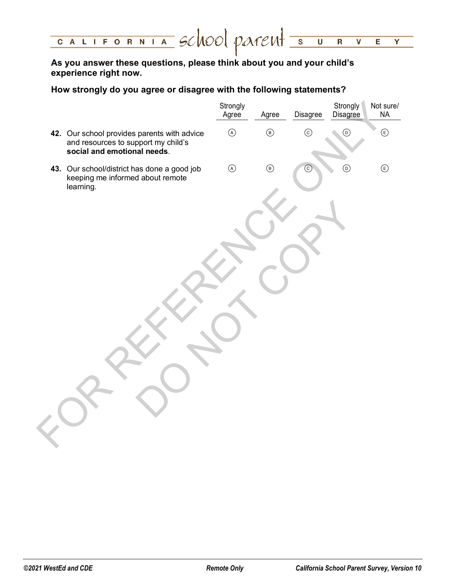#### CALIFORNIA SCHOOL PATEMTS  $\overline{\mathsf{U}}$  $\overline{\mathbf{R}}$  $\overline{\mathbf{v}}$ E. Y

**As you answer these questions, please think about you and your child's experience right now.**

# **How strongly do you agree or disagree with the following statements?**

|                                                                                                                   | Strongly<br>Agree | Agree                         | <b>Disagree</b> | Strongly<br>Disagree          | Not sure/<br><b>NA</b>         |
|-------------------------------------------------------------------------------------------------------------------|-------------------|-------------------------------|-----------------|-------------------------------|--------------------------------|
| 42. Our school provides parents with advice<br>and resources to support my child's<br>social and emotional needs. | $\bigcirc$        | $\textcircled{\scriptsize 8}$ | $\odot$         | $\odot$                       | $\textcircled{\scriptsize{E}}$ |
| 43. Our school/district has done a good job<br>keeping me informed about remote<br>learning.                      | $\odot$           | $\textcircled{\scriptsize 8}$ | $_{\odot}$      | $\textcircled{\scriptsize 0}$ | $\textcircled{\scriptsize{E}}$ |
|                                                                                                                   |                   |                               |                 |                               |                                |